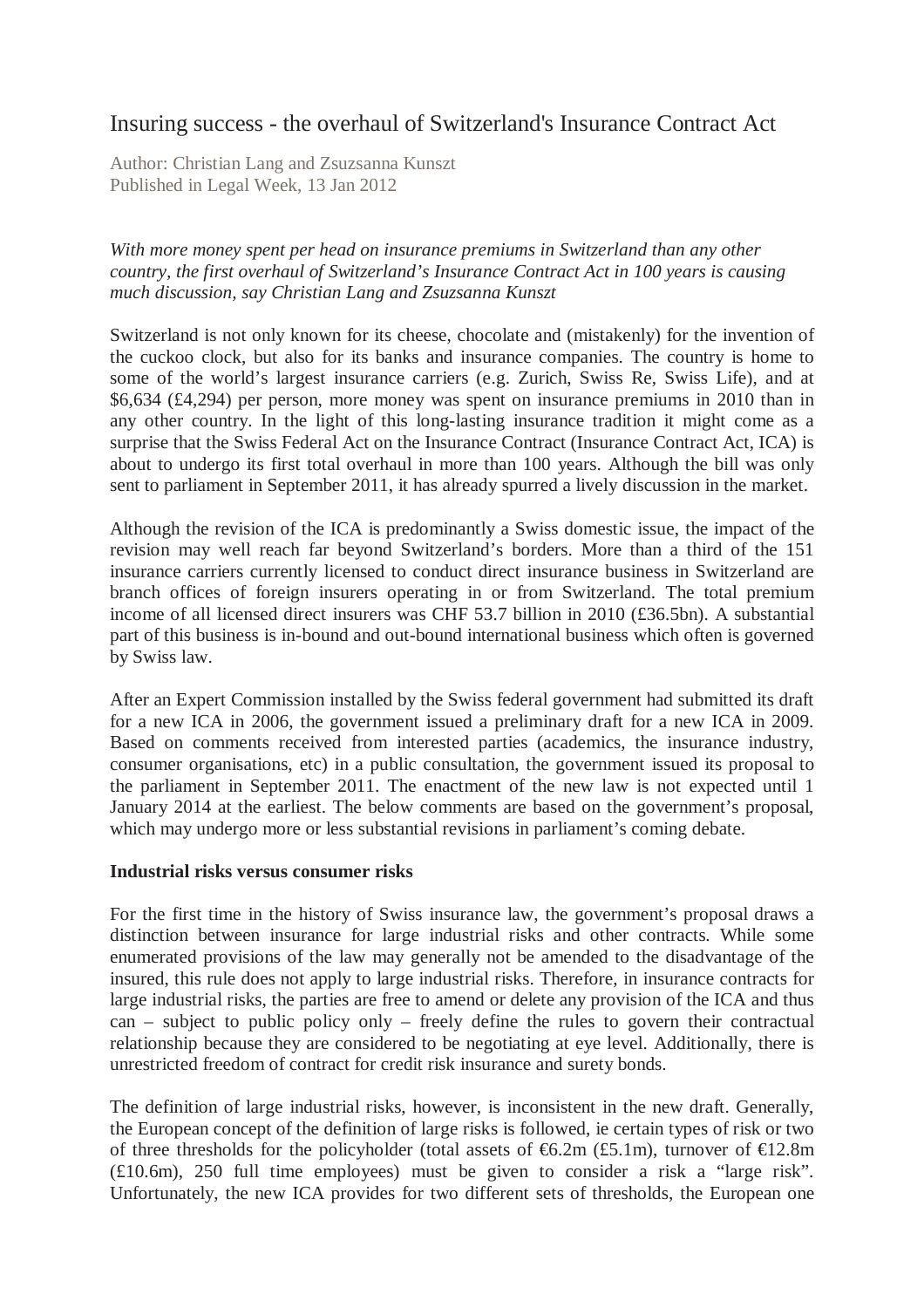# Insuring success - the overhaul of Switzerland's Insurance Contract Act

Author: Christian Lang and Zsuzsanna Kunszt Published in Legal Week, 13 Jan 2012

*With more money spent per head on insurance premiums in Switzerland than any other country, the first overhaul of Switzerland's Insurance Contract Act in 100 years is causing much discussion, say Christian Lang and Zsuzsanna Kunszt* 

Switzerland is not only known for its cheese, chocolate and (mistakenly) for the invention of the cuckoo clock, but also for its banks and insurance companies. The country is home to some of the world's largest insurance carriers (e.g. Zurich, Swiss Re, Swiss Life), and at \$6,634 (£4,294) per person, more money was spent on insurance premiums in 2010 than in any other country. In the light of this long-lasting insurance tradition it might come as a surprise that the Swiss Federal Act on the Insurance Contract (Insurance Contract Act, ICA) is about to undergo its first total overhaul in more than 100 years. Although the bill was only sent to parliament in September 2011, it has already spurred a lively discussion in the market.

Although the revision of the ICA is predominantly a Swiss domestic issue, the impact of the revision may well reach far beyond Switzerland's borders. More than a third of the 151 insurance carriers currently licensed to conduct direct insurance business in Switzerland are branch offices of foreign insurers operating in or from Switzerland. The total premium income of all licensed direct insurers was CHF 53.7 billion in 2010 (£36.5bn). A substantial part of this business is in-bound and out-bound international business which often is governed by Swiss law.

After an Expert Commission installed by the Swiss federal government had submitted its draft for a new ICA in 2006, the government issued a preliminary draft for a new ICA in 2009. Based on comments received from interested parties (academics, the insurance industry, consumer organisations, etc) in a public consultation, the government issued its proposal to the parliament in September 2011. The enactment of the new law is not expected until 1 January 2014 at the earliest. The below comments are based on the government's proposal, which may undergo more or less substantial revisions in parliament's coming debate.

### **Industrial risks versus consumer risks**

For the first time in the history of Swiss insurance law, the government's proposal draws a distinction between insurance for large industrial risks and other contracts. While some enumerated provisions of the law may generally not be amended to the disadvantage of the insured, this rule does not apply to large industrial risks. Therefore, in insurance contracts for large industrial risks, the parties are free to amend or delete any provision of the ICA and thus can – subject to public policy only – freely define the rules to govern their contractual relationship because they are considered to be negotiating at eye level. Additionally, there is unrestricted freedom of contract for credit risk insurance and surety bonds.

The definition of large industrial risks, however, is inconsistent in the new draft. Generally, the European concept of the definition of large risks is followed, ie certain types of risk or two of three thresholds for the policyholder (total assets of  $\epsilon$ 6.2m (£5.1m), turnover of  $\epsilon$ 12.8m (£10.6m), 250 full time employees) must be given to consider a risk a "large risk". Unfortunately, the new ICA provides for two different sets of thresholds, the European one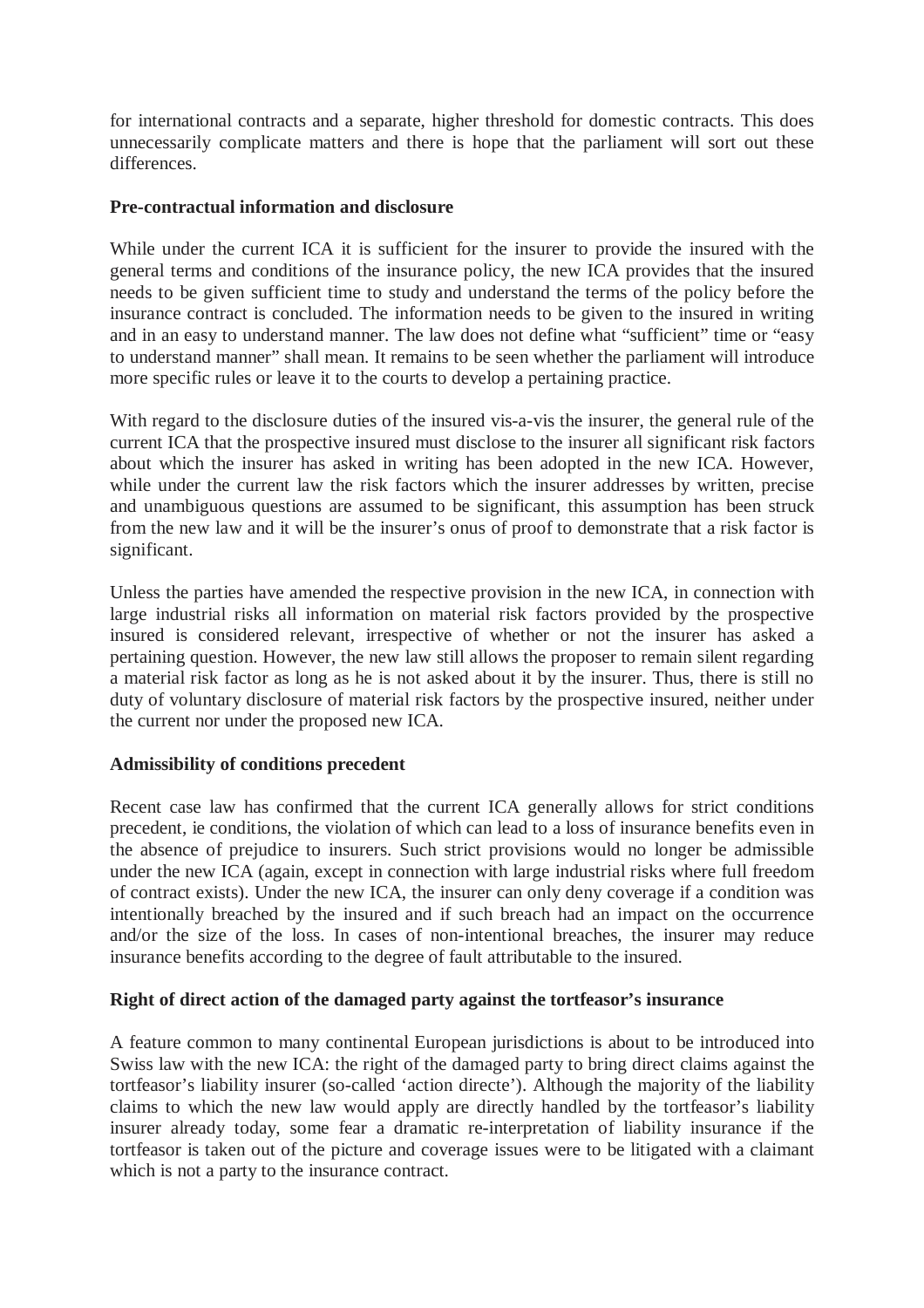for international contracts and a separate, higher threshold for domestic contracts. This does unnecessarily complicate matters and there is hope that the parliament will sort out these differences.

## **Pre-contractual information and disclosure**

While under the current ICA it is sufficient for the insurer to provide the insured with the general terms and conditions of the insurance policy, the new ICA provides that the insured needs to be given sufficient time to study and understand the terms of the policy before the insurance contract is concluded. The information needs to be given to the insured in writing and in an easy to understand manner. The law does not define what "sufficient" time or "easy to understand manner" shall mean. It remains to be seen whether the parliament will introduce more specific rules or leave it to the courts to develop a pertaining practice.

With regard to the disclosure duties of the insured vis-a-vis the insurer, the general rule of the current ICA that the prospective insured must disclose to the insurer all significant risk factors about which the insurer has asked in writing has been adopted in the new ICA. However, while under the current law the risk factors which the insurer addresses by written, precise and unambiguous questions are assumed to be significant, this assumption has been struck from the new law and it will be the insurer's onus of proof to demonstrate that a risk factor is significant.

Unless the parties have amended the respective provision in the new ICA, in connection with large industrial risks all information on material risk factors provided by the prospective insured is considered relevant, irrespective of whether or not the insurer has asked a pertaining question. However, the new law still allows the proposer to remain silent regarding a material risk factor as long as he is not asked about it by the insurer. Thus, there is still no duty of voluntary disclosure of material risk factors by the prospective insured, neither under the current nor under the proposed new ICA.

### **Admissibility of conditions precedent**

Recent case law has confirmed that the current ICA generally allows for strict conditions precedent, ie conditions, the violation of which can lead to a loss of insurance benefits even in the absence of prejudice to insurers. Such strict provisions would no longer be admissible under the new ICA (again, except in connection with large industrial risks where full freedom of contract exists). Under the new ICA, the insurer can only deny coverage if a condition was intentionally breached by the insured and if such breach had an impact on the occurrence and/or the size of the loss. In cases of non-intentional breaches, the insurer may reduce insurance benefits according to the degree of fault attributable to the insured.

# **Right of direct action of the damaged party against the tortfeasor's insurance**

A feature common to many continental European jurisdictions is about to be introduced into Swiss law with the new ICA: the right of the damaged party to bring direct claims against the tortfeasor's liability insurer (so-called 'action directe'). Although the majority of the liability claims to which the new law would apply are directly handled by the tortfeasor's liability insurer already today, some fear a dramatic re-interpretation of liability insurance if the tortfeasor is taken out of the picture and coverage issues were to be litigated with a claimant which is not a party to the insurance contract.